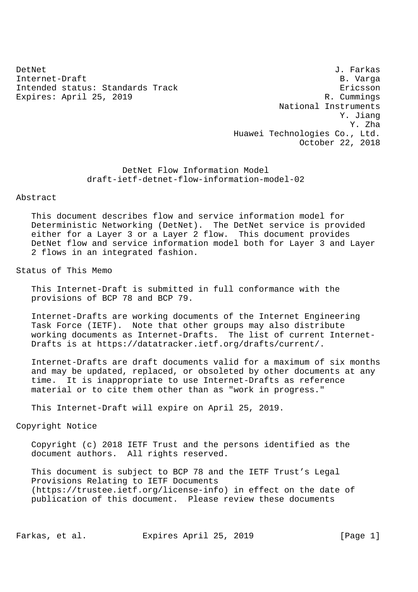Internet-Draft B. Varga Intended status: Standards Track extending the extendio of the Ericsson Expires: April 25, 2019 R. Cummings

DetNet J. Farkas National Instruments Y. Jiang Y. Zha Huawei Technologies Co., Ltd. October 22, 2018

> DetNet Flow Information Model draft-ietf-detnet-flow-information-model-02

#### Abstract

 This document describes flow and service information model for Deterministic Networking (DetNet). The DetNet service is provided either for a Layer 3 or a Layer 2 flow. This document provides DetNet flow and service information model both for Layer 3 and Layer 2 flows in an integrated fashion.

## Status of This Memo

 This Internet-Draft is submitted in full conformance with the provisions of BCP 78 and BCP 79.

 Internet-Drafts are working documents of the Internet Engineering Task Force (IETF). Note that other groups may also distribute working documents as Internet-Drafts. The list of current Internet- Drafts is at https://datatracker.ietf.org/drafts/current/.

 Internet-Drafts are draft documents valid for a maximum of six months and may be updated, replaced, or obsoleted by other documents at any time. It is inappropriate to use Internet-Drafts as reference material or to cite them other than as "work in progress."

This Internet-Draft will expire on April 25, 2019.

# Copyright Notice

 Copyright (c) 2018 IETF Trust and the persons identified as the document authors. All rights reserved.

 This document is subject to BCP 78 and the IETF Trust's Legal Provisions Relating to IETF Documents (https://trustee.ietf.org/license-info) in effect on the date of publication of this document. Please review these documents

Farkas, et al. Expires April 25, 2019 [Page 1]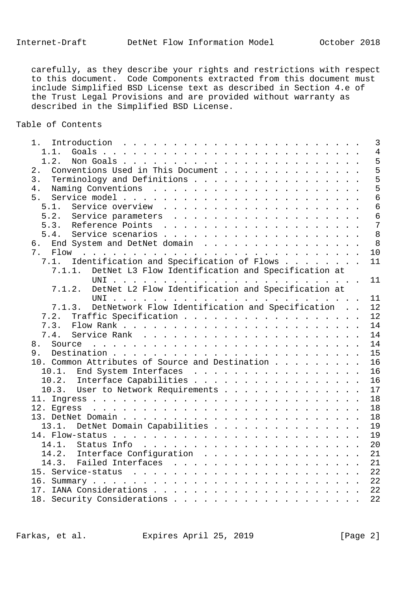carefully, as they describe your rights and restrictions with respect to this document. Code Components extracted from this document must include Simplified BSD License text as described in Section 4.e of the Trust Legal Provisions and are provided without warranty as described in the Simplified BSD License.

Table of Contents

|                                                              | $\overline{3}$ |
|--------------------------------------------------------------|----------------|
| 1.1.                                                         | $\overline{4}$ |
| 1.2.                                                         | 5              |
| Conventions Used in This Document<br>2.                      | 5              |
| Terminology and Definitions<br>3.                            | 5              |
| 4.                                                           | 5              |
| 5.                                                           | $\overline{6}$ |
| 5.1.                                                         | 6              |
| 5.2.                                                         | 6              |
|                                                              | $\overline{7}$ |
|                                                              | 8              |
| End System and DetNet domain<br>6.                           | 8              |
|                                                              | 10             |
| Identification and Specification of Flows<br>7.1.            | 11             |
| DetNet L3 Flow Identification and Specification at<br>7.1.1. |                |
|                                                              | 11             |
|                                                              |                |
| DetNet L2 Flow Identification and Specification at<br>7.1.2. |                |
|                                                              | 11             |
| 7.1.3. DetNetwork Flow Identification and Specification      | 12             |
| Traffic Specification<br>7.2.                                | 12             |
| 7.3.                                                         | 14             |
| 7.4.                                                         | 14             |
| 8.                                                           | 14             |
| 9.                                                           | 15             |
| 10. Common Attributes of Source and Destination              | 16             |
| 10.1. End System Interfaces                                  | 16             |
| 10.2. Interface Capabilities                                 | 16             |
| 10.3. User to Network Requirements                           | 17             |
|                                                              | 18             |
|                                                              | 18             |
|                                                              | 18             |
| 13.1. DetNet Domain Capabilities                             | 19             |
|                                                              | 19             |
|                                                              | 20             |
| 14.2. Interface Configuration                                | 21             |
|                                                              |                |
| 14.3. Failed Interfaces 21                                   |                |
|                                                              |                |
|                                                              |                |
|                                                              |                |
|                                                              | 22             |

Farkas, et al. Expires April 25, 2019 [Page 2]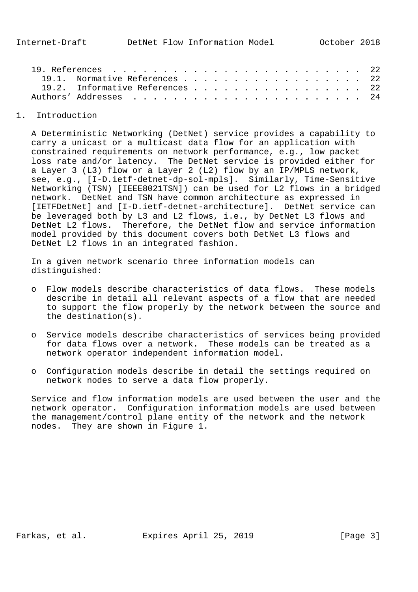| 19.1. Normative References 22   |  |  |  |  |  |  |  |  |  |
|---------------------------------|--|--|--|--|--|--|--|--|--|
| 19.2. Informative References 22 |  |  |  |  |  |  |  |  |  |
|                                 |  |  |  |  |  |  |  |  |  |
|                                 |  |  |  |  |  |  |  |  |  |

## 1. Introduction

 A Deterministic Networking (DetNet) service provides a capability to carry a unicast or a multicast data flow for an application with constrained requirements on network performance, e.g., low packet loss rate and/or latency. The DetNet service is provided either for a Layer 3 (L3) flow or a Layer 2 (L2) flow by an IP/MPLS network, see, e.g., [I-D.ietf-detnet-dp-sol-mpls]. Similarly, Time-Sensitive Networking (TSN) [IEEE8021TSN]) can be used for L2 flows in a bridged network. DetNet and TSN have common architecture as expressed in [IETFDetNet] and [I-D.ietf-detnet-architecture]. DetNet service can be leveraged both by L3 and L2 flows, i.e., by DetNet L3 flows and DetNet L2 flows. Therefore, the DetNet flow and service information model provided by this document covers both DetNet L3 flows and DetNet L2 flows in an integrated fashion.

 In a given network scenario three information models can distinguished:

- o Flow models describe characteristics of data flows. These models describe in detail all relevant aspects of a flow that are needed to support the flow properly by the network between the source and the destination(s).
- o Service models describe characteristics of services being provided for data flows over a network. These models can be treated as a network operator independent information model.
- o Configuration models describe in detail the settings required on network nodes to serve a data flow properly.

 Service and flow information models are used between the user and the network operator. Configuration information models are used between the management/control plane entity of the network and the network nodes. They are shown in Figure 1.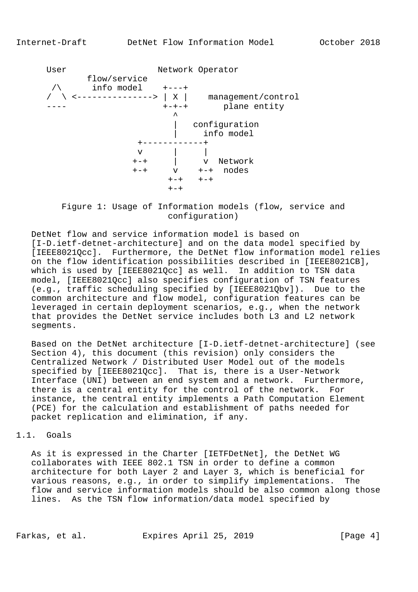

 Figure 1: Usage of Information models (flow, service and configuration)

 DetNet flow and service information model is based on [I-D.ietf-detnet-architecture] and on the data model specified by [IEEE8021Qcc]. Furthermore, the DetNet flow information model relies on the flow identification possibilities described in [IEEE8021CB], which is used by [IEEE8021Qcc] as well. In addition to TSN data model, [IEEE8021Qcc] also specifies configuration of TSN features (e.g., traffic scheduling specified by [IEEE8021Qbv]). Due to the common architecture and flow model, configuration features can be leveraged in certain deployment scenarios, e.g., when the network that provides the DetNet service includes both L3 and L2 network segments.

 Based on the DetNet architecture [I-D.ietf-detnet-architecture] (see Section 4), this document (this revision) only considers the Centralized Network / Distributed User Model out of the models specified by [IEEE8021Qcc]. That is, there is a User-Network Interface (UNI) between an end system and a network. Furthermore, there is a central entity for the control of the network. For instance, the central entity implements a Path Computation Element (PCE) for the calculation and establishment of paths needed for packet replication and elimination, if any.

## 1.1. Goals

 As it is expressed in the Charter [IETFDetNet], the DetNet WG collaborates with IEEE 802.1 TSN in order to define a common architecture for both Layer 2 and Layer 3, which is beneficial for various reasons, e.g., in order to simplify implementations. The flow and service information models should be also common along those lines. As the TSN flow information/data model specified by

Farkas, et al. Expires April 25, 2019 [Page 4]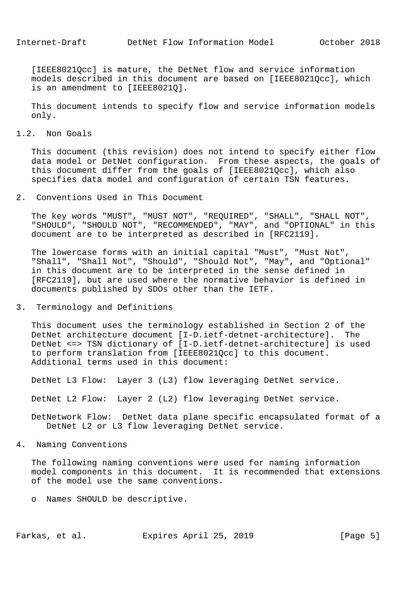[IEEE8021Qcc] is mature, the DetNet flow and service information models described in this document are based on [IEEE8021Qcc], which is an amendment to [IEEE8021Q].

 This document intends to specify flow and service information models only.

## 1.2. Non Goals

 This document (this revision) does not intend to specify either flow data model or DetNet configuration. From these aspects, the goals of this document differ from the goals of [IEEE8021Qcc], which also specifies data model and configuration of certain TSN features.

### 2. Conventions Used in This Document

 The key words "MUST", "MUST NOT", "REQUIRED", "SHALL", "SHALL NOT", "SHOULD", "SHOULD NOT", "RECOMMENDED", "MAY", and "OPTIONAL" in this document are to be interpreted as described in [RFC2119].

 The lowercase forms with an initial capital "Must", "Must Not", "Shall", "Shall Not", "Should", "Should Not", "May", and "Optional" in this document are to be interpreted in the sense defined in [RFC2119], but are used where the normative behavior is defined in documents published by SDOs other than the IETF.

#### 3. Terminology and Definitions

 This document uses the terminology established in Section 2 of the DetNet architecture document [I-D.ietf-detnet-architecture]. The DetNet <=> TSN dictionary of [I-D.ietf-detnet-architecture] is used to perform translation from [IEEE8021Qcc] to this document. Additional terms used in this document:

DetNet L3 Flow: Layer 3 (L3) flow leveraging DetNet service.

DetNet L2 Flow: Layer 2 (L2) flow leveraging DetNet service.

 DetNetwork Flow: DetNet data plane specific encapsulated format of a DetNet L2 or L3 flow leveraging DetNet service.

#### 4. Naming Conventions

 The following naming conventions were used for naming information model components in this document. It is recommended that extensions of the model use the same conventions.

o Names SHOULD be descriptive.

Farkas, et al. Expires April 25, 2019 [Page 5]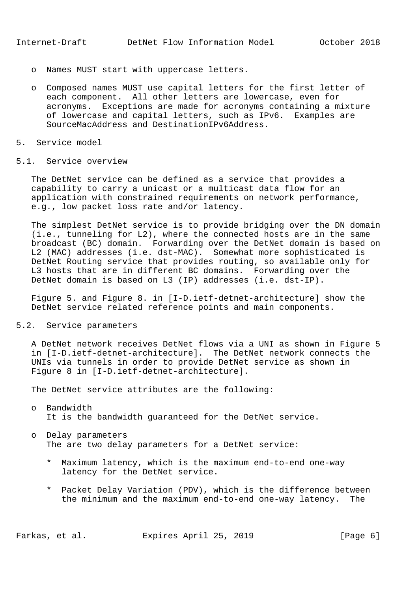- o Names MUST start with uppercase letters.
- o Composed names MUST use capital letters for the first letter of each component. All other letters are lowercase, even for acronyms. Exceptions are made for acronyms containing a mixture of lowercase and capital letters, such as IPv6. Examples are SourceMacAddress and DestinationIPv6Address.
- 5. Service model

## 5.1. Service overview

 The DetNet service can be defined as a service that provides a capability to carry a unicast or a multicast data flow for an application with constrained requirements on network performance, e.g., low packet loss rate and/or latency.

 The simplest DetNet service is to provide bridging over the DN domain (i.e., tunneling for L2), where the connected hosts are in the same broadcast (BC) domain. Forwarding over the DetNet domain is based on L2 (MAC) addresses (i.e. dst-MAC). Somewhat more sophisticated is DetNet Routing service that provides routing, so available only for L3 hosts that are in different BC domains. Forwarding over the DetNet domain is based on L3 (IP) addresses (i.e. dst-IP).

 Figure 5. and Figure 8. in [I-D.ietf-detnet-architecture] show the DetNet service related reference points and main components.

# 5.2. Service parameters

 A DetNet network receives DetNet flows via a UNI as shown in Figure 5 in [I-D.ietf-detnet-architecture]. The DetNet network connects the UNIs via tunnels in order to provide DetNet service as shown in Figure 8 in [I-D.ietf-detnet-architecture].

The DetNet service attributes are the following:

- o Bandwidth It is the bandwidth guaranteed for the DetNet service.
- o Delay parameters The are two delay parameters for a DetNet service:
	- \* Maximum latency, which is the maximum end-to-end one-way latency for the DetNet service.
	- \* Packet Delay Variation (PDV), which is the difference between the minimum and the maximum end-to-end one-way latency. The

Farkas, et al. Expires April 25, 2019 [Page 6]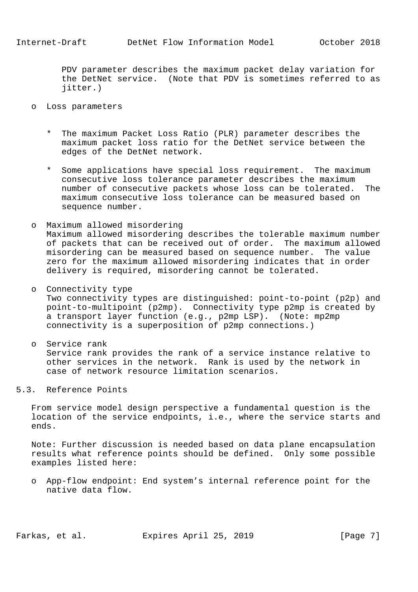PDV parameter describes the maximum packet delay variation for the DetNet service. (Note that PDV is sometimes referred to as jitter.)

- o Loss parameters
	- The maximum Packet Loss Ratio (PLR) parameter describes the maximum packet loss ratio for the DetNet service between the edges of the DetNet network.
	- \* Some applications have special loss requirement. The maximum consecutive loss tolerance parameter describes the maximum number of consecutive packets whose loss can be tolerated. The maximum consecutive loss tolerance can be measured based on sequence number.
- o Maximum allowed misordering Maximum allowed misordering describes the tolerable maximum number of packets that can be received out of order. The maximum allowed misordering can be measured based on sequence number. The value zero for the maximum allowed misordering indicates that in order delivery is required, misordering cannot be tolerated.
- o Connectivity type Two connectivity types are distinguished: point-to-point (p2p) and point-to-multipoint (p2mp). Connectivity type p2mp is created by a transport layer function (e.g., p2mp LSP). (Note: mp2mp connectivity is a superposition of p2mp connections.)
- o Service rank Service rank provides the rank of a service instance relative to other services in the network. Rank is used by the network in case of network resource limitation scenarios.
- 5.3. Reference Points

 From service model design perspective a fundamental question is the location of the service endpoints, i.e., where the service starts and ends.

 Note: Further discussion is needed based on data plane encapsulation results what reference points should be defined. Only some possible examples listed here:

 o App-flow endpoint: End system's internal reference point for the native data flow.

Farkas, et al. Expires April 25, 2019 [Page 7]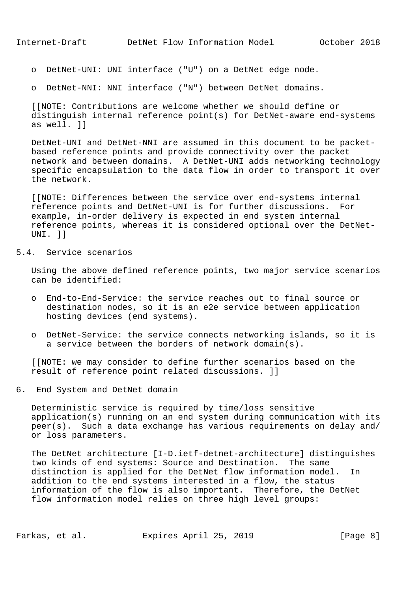o DetNet-UNI: UNI interface ("U") on a DetNet edge node.

o DetNet-NNI: NNI interface ("N") between DetNet domains.

 [[NOTE: Contributions are welcome whether we should define or distinguish internal reference point(s) for DetNet-aware end-systems as well. ]]

 DetNet-UNI and DetNet-NNI are assumed in this document to be packet based reference points and provide connectivity over the packet network and between domains. A DetNet-UNI adds networking technology specific encapsulation to the data flow in order to transport it over the network.

 [[NOTE: Differences between the service over end-systems internal reference points and DetNet-UNI is for further discussions. For example, in-order delivery is expected in end system internal reference points, whereas it is considered optional over the DetNet- UNI. ]]

## 5.4. Service scenarios

 Using the above defined reference points, two major service scenarios can be identified:

- o End-to-End-Service: the service reaches out to final source or destination nodes, so it is an e2e service between application hosting devices (end systems).
- o DetNet-Service: the service connects networking islands, so it is a service between the borders of network domain(s).

 [[NOTE: we may consider to define further scenarios based on the result of reference point related discussions. ]]

6. End System and DetNet domain

 Deterministic service is required by time/loss sensitive application(s) running on an end system during communication with its peer(s). Such a data exchange has various requirements on delay and/ or loss parameters.

 The DetNet architecture [I-D.ietf-detnet-architecture] distinguishes two kinds of end systems: Source and Destination. The same distinction is applied for the DetNet flow information model. In addition to the end systems interested in a flow, the status information of the flow is also important. Therefore, the DetNet flow information model relies on three high level groups:

Farkas, et al. Expires April 25, 2019 [Page 8]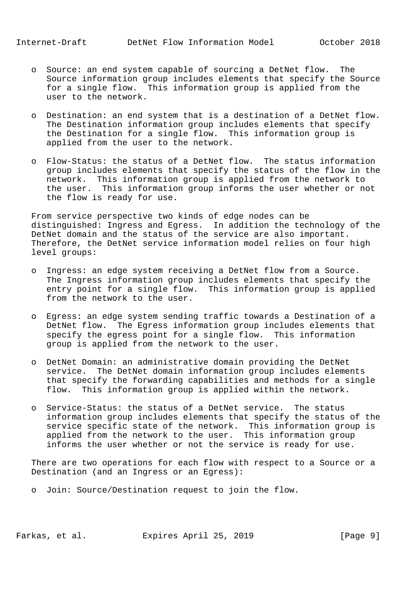- o Source: an end system capable of sourcing a DetNet flow. The Source information group includes elements that specify the Source for a single flow. This information group is applied from the user to the network.
- o Destination: an end system that is a destination of a DetNet flow. The Destination information group includes elements that specify the Destination for a single flow. This information group is applied from the user to the network.
- o Flow-Status: the status of a DetNet flow. The status information group includes elements that specify the status of the flow in the network. This information group is applied from the network to the user. This information group informs the user whether or not the flow is ready for use.

 From service perspective two kinds of edge nodes can be distinguished: Ingress and Egress. In addition the technology of the DetNet domain and the status of the service are also important. Therefore, the DetNet service information model relies on four high level groups:

- o Ingress: an edge system receiving a DetNet flow from a Source. The Ingress information group includes elements that specify the entry point for a single flow. This information group is applied from the network to the user.
- o Egress: an edge system sending traffic towards a Destination of a DetNet flow. The Egress information group includes elements that specify the egress point for a single flow. This information group is applied from the network to the user.
- o DetNet Domain: an administrative domain providing the DetNet service. The DetNet domain information group includes elements that specify the forwarding capabilities and methods for a single flow. This information group is applied within the network.
- o Service-Status: the status of a DetNet service. The status information group includes elements that specify the status of the service specific state of the network. This information group is applied from the network to the user. This information group informs the user whether or not the service is ready for use.

 There are two operations for each flow with respect to a Source or a Destination (and an Ingress or an Egress):

o Join: Source/Destination request to join the flow.

Farkas, et al. Expires April 25, 2019 [Page 9]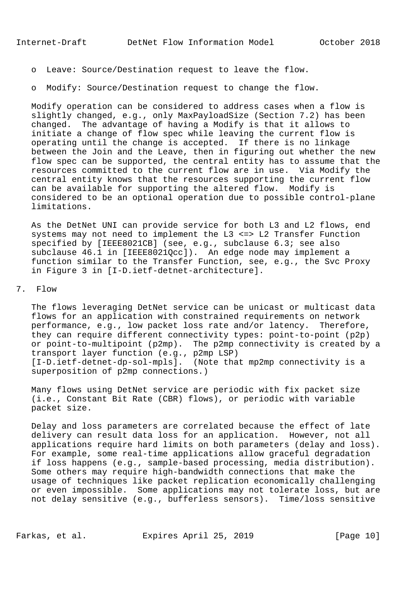- o Leave: Source/Destination request to leave the flow.
- o Modify: Source/Destination request to change the flow.

 Modify operation can be considered to address cases when a flow is slightly changed, e.g., only MaxPayloadSize (Section 7.2) has been changed. The advantage of having a Modify is that it allows to initiate a change of flow spec while leaving the current flow is operating until the change is accepted. If there is no linkage between the Join and the Leave, then in figuring out whether the new flow spec can be supported, the central entity has to assume that the resources committed to the current flow are in use. Via Modify the central entity knows that the resources supporting the current flow can be available for supporting the altered flow. Modify is considered to be an optional operation due to possible control-plane limitations.

 As the DetNet UNI can provide service for both L3 and L2 flows, end systems may not need to implement the L3 <=> L2 Transfer Function specified by [IEEE8021CB] (see, e.g., subclause 6.3; see also subclause 46.1 in [IEEE8021Qcc]). An edge node may implement a function similar to the Transfer Function, see, e.g., the Svc Proxy in Figure 3 in [I-D.ietf-detnet-architecture].

## 7. Flow

 The flows leveraging DetNet service can be unicast or multicast data flows for an application with constrained requirements on network performance, e.g., low packet loss rate and/or latency. Therefore, they can require different connectivity types: point-to-point (p2p) or point-to-multipoint (p2mp). The p2mp connectivity is created by a transport layer function (e.g., p2mp LSP) [I-D.ietf-detnet-dp-sol-mpls]. (Note that mp2mp connectivity is a superposition of p2mp connections.)

 Many flows using DetNet service are periodic with fix packet size (i.e., Constant Bit Rate (CBR) flows), or periodic with variable packet size.

 Delay and loss parameters are correlated because the effect of late delivery can result data loss for an application. However, not all applications require hard limits on both parameters (delay and loss). For example, some real-time applications allow graceful degradation if loss happens (e.g., sample-based processing, media distribution). Some others may require high-bandwidth connections that make the usage of techniques like packet replication economically challenging or even impossible. Some applications may not tolerate loss, but are not delay sensitive (e.g., bufferless sensors). Time/loss sensitive

Farkas, et al. Expires April 25, 2019 [Page 10]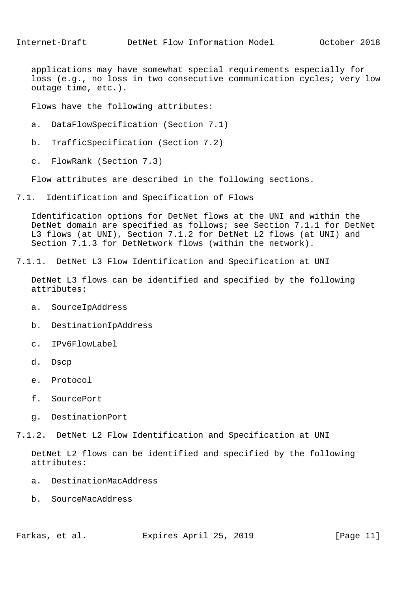applications may have somewhat special requirements especially for loss (e.g., no loss in two consecutive communication cycles; very low outage time, etc.).

Flows have the following attributes:

- a. DataFlowSpecification (Section 7.1)
- b. TrafficSpecification (Section 7.2)
- c. FlowRank (Section 7.3)

Flow attributes are described in the following sections.

7.1. Identification and Specification of Flows

 Identification options for DetNet flows at the UNI and within the DetNet domain are specified as follows; see Section 7.1.1 for DetNet L3 flows (at UNI), Section 7.1.2 for DetNet L2 flows (at UNI) and Section 7.1.3 for DetNetwork flows (within the network).

7.1.1. DetNet L3 Flow Identification and Specification at UNI

 DetNet L3 flows can be identified and specified by the following attributes:

- a. SourceIpAddress
- b. DestinationIpAddress
- c. IPv6FlowLabel
- d. Dscp
- e. Protocol
- f. SourcePort
- g. DestinationPort

7.1.2. DetNet L2 Flow Identification and Specification at UNI

 DetNet L2 flows can be identified and specified by the following attributes:

- a. DestinationMacAddress
- b. SourceMacAddress

Farkas, et al. Expires April 25, 2019 [Page 11]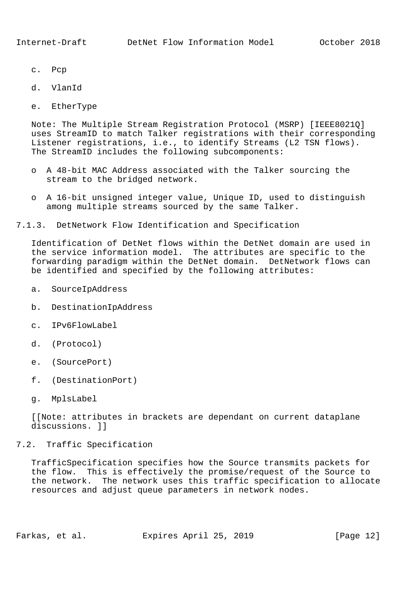- c. Pcp
- d. VlanId
- e. EtherType

 Note: The Multiple Stream Registration Protocol (MSRP) [IEEE8021Q] uses StreamID to match Talker registrations with their corresponding Listener registrations, i.e., to identify Streams (L2 TSN flows). The StreamID includes the following subcomponents:

- o A 48-bit MAC Address associated with the Talker sourcing the stream to the bridged network.
- o A 16-bit unsigned integer value, Unique ID, used to distinguish among multiple streams sourced by the same Talker.

7.1.3. DetNetwork Flow Identification and Specification

 Identification of DetNet flows within the DetNet domain are used in the service information model. The attributes are specific to the forwarding paradigm within the DetNet domain. DetNetwork flows can be identified and specified by the following attributes:

- a. SourceIpAddress
- b. DestinationIpAddress
- c. IPv6FlowLabel
- d. (Protocol)
- e. (SourcePort)
- f. (DestinationPort)
- g. MplsLabel

 [[Note: attributes in brackets are dependant on current dataplane discussions. ]]

## 7.2. Traffic Specification

 TrafficSpecification specifies how the Source transmits packets for the flow. This is effectively the promise/request of the Source to the network. The network uses this traffic specification to allocate resources and adjust queue parameters in network nodes.

Farkas, et al. Expires April 25, 2019 [Page 12]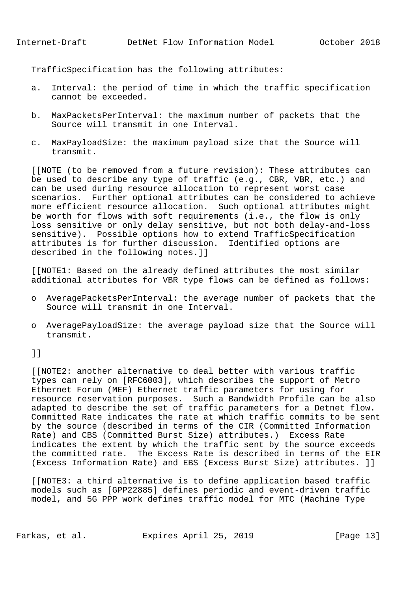TrafficSpecification has the following attributes:

- a. Interval: the period of time in which the traffic specification cannot be exceeded.
- b. MaxPacketsPerInterval: the maximum number of packets that the Source will transmit in one Interval.
- c. MaxPayloadSize: the maximum payload size that the Source will transmit.

 [[NOTE (to be removed from a future revision): These attributes can be used to describe any type of traffic (e.g., CBR, VBR, etc.) and can be used during resource allocation to represent worst case scenarios. Further optional attributes can be considered to achieve more efficient resource allocation. Such optional attributes might be worth for flows with soft requirements (i.e., the flow is only loss sensitive or only delay sensitive, but not both delay-and-loss sensitive). Possible options how to extend TrafficSpecification attributes is for further discussion. Identified options are described in the following notes.]]

 [[NOTE1: Based on the already defined attributes the most similar additional attributes for VBR type flows can be defined as follows:

- o AveragePacketsPerInterval: the average number of packets that the Source will transmit in one Interval.
- o AveragePayloadSize: the average payload size that the Source will transmit.

]]

 [[NOTE2: another alternative to deal better with various traffic types can rely on [RFC6003], which describes the support of Metro Ethernet Forum (MEF) Ethernet traffic parameters for using for resource reservation purposes. Such a Bandwidth Profile can be also adapted to describe the set of traffic parameters for a Detnet flow. Committed Rate indicates the rate at which traffic commits to be sent by the source (described in terms of the CIR (Committed Information Rate) and CBS (Committed Burst Size) attributes.) Excess Rate indicates the extent by which the traffic sent by the source exceeds the committed rate. The Excess Rate is described in terms of the EIR (Excess Information Rate) and EBS (Excess Burst Size) attributes. ]]

 [[NOTE3: a third alternative is to define application based traffic models such as [GPP22885] defines periodic and event-driven traffic model, and 5G PPP work defines traffic model for MTC (Machine Type

Farkas, et al. Expires April 25, 2019 [Page 13]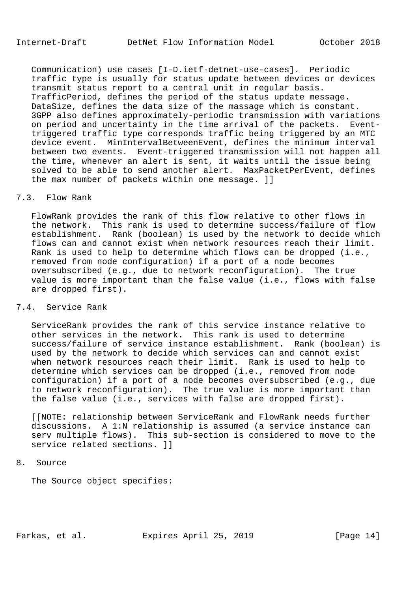Communication) use cases [I-D.ietf-detnet-use-cases]. Periodic traffic type is usually for status update between devices or devices transmit status report to a central unit in regular basis. TrafficPeriod, defines the period of the status update message. DataSize, defines the data size of the massage which is constant. 3GPP also defines approximately-periodic transmission with variations on period and uncertainty in the time arrival of the packets. Event triggered traffic type corresponds traffic being triggered by an MTC device event. MinIntervalBetweenEvent, defines the minimum interval between two events. Event-triggered transmission will not happen all the time, whenever an alert is sent, it waits until the issue being solved to be able to send another alert. MaxPacketPerEvent, defines the max number of packets within one message. ]]

## 7.3. Flow Rank

 FlowRank provides the rank of this flow relative to other flows in the network. This rank is used to determine success/failure of flow establishment. Rank (boolean) is used by the network to decide which flows can and cannot exist when network resources reach their limit. Rank is used to help to determine which flows can be dropped (i.e., removed from node configuration) if a port of a node becomes oversubscribed (e.g., due to network reconfiguration). The true value is more important than the false value (i.e., flows with false are dropped first).

# 7.4. Service Rank

 ServiceRank provides the rank of this service instance relative to other services in the network. This rank is used to determine success/failure of service instance establishment. Rank (boolean) is used by the network to decide which services can and cannot exist when network resources reach their limit. Rank is used to help to determine which services can be dropped (i.e., removed from node configuration) if a port of a node becomes oversubscribed (e.g., due to network reconfiguration). The true value is more important than the false value (i.e., services with false are dropped first).

 [[NOTE: relationship between ServiceRank and FlowRank needs further discussions. A 1:N relationship is assumed (a service instance can serv multiple flows). This sub-section is considered to move to the service related sections. 11

#### 8. Source

The Source object specifies:

Farkas, et al. Expires April 25, 2019 [Page 14]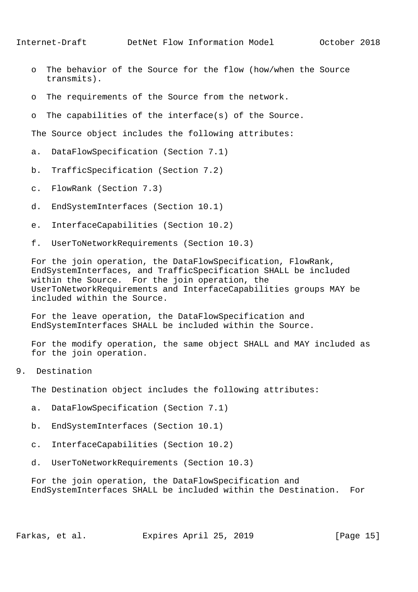- o The behavior of the Source for the flow (how/when the Source transmits).
- o The requirements of the Source from the network.
- o The capabilities of the interface(s) of the Source.

The Source object includes the following attributes:

- a. DataFlowSpecification (Section 7.1)
- b. TrafficSpecification (Section 7.2)
- c. FlowRank (Section 7.3)
- d. EndSystemInterfaces (Section 10.1)
- e. InterfaceCapabilities (Section 10.2)
- f. UserToNetworkRequirements (Section 10.3)

 For the join operation, the DataFlowSpecification, FlowRank, EndSystemInterfaces, and TrafficSpecification SHALL be included within the Source. For the join operation, the UserToNetworkRequirements and InterfaceCapabilities groups MAY be included within the Source.

 For the leave operation, the DataFlowSpecification and EndSystemInterfaces SHALL be included within the Source.

 For the modify operation, the same object SHALL and MAY included as for the join operation.

9. Destination

The Destination object includes the following attributes:

- a. DataFlowSpecification (Section 7.1)
- b. EndSystemInterfaces (Section 10.1)
- c. InterfaceCapabilities (Section 10.2)
- d. UserToNetworkRequirements (Section 10.3)

 For the join operation, the DataFlowSpecification and EndSystemInterfaces SHALL be included within the Destination. For

Farkas, et al. Expires April 25, 2019 [Page 15]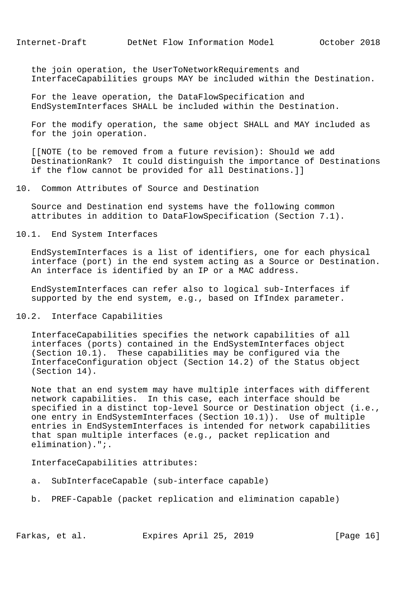the join operation, the UserToNetworkRequirements and InterfaceCapabilities groups MAY be included within the Destination.

 For the leave operation, the DataFlowSpecification and EndSystemInterfaces SHALL be included within the Destination.

 For the modify operation, the same object SHALL and MAY included as for the join operation.

 [[NOTE (to be removed from a future revision): Should we add DestinationRank? It could distinguish the importance of Destinations if the flow cannot be provided for all Destinations.]]

## 10. Common Attributes of Source and Destination

 Source and Destination end systems have the following common attributes in addition to DataFlowSpecification (Section 7.1).

#### 10.1. End System Interfaces

 EndSystemInterfaces is a list of identifiers, one for each physical interface (port) in the end system acting as a Source or Destination. An interface is identified by an IP or a MAC address.

 EndSystemInterfaces can refer also to logical sub-Interfaces if supported by the end system, e.g., based on IfIndex parameter.

#### 10.2. Interface Capabilities

 InterfaceCapabilities specifies the network capabilities of all interfaces (ports) contained in the EndSystemInterfaces object (Section 10.1). These capabilities may be configured via the InterfaceConfiguration object (Section 14.2) of the Status object (Section 14).

 Note that an end system may have multiple interfaces with different network capabilities. In this case, each interface should be specified in a distinct top-level Source or Destination object (i.e., one entry in EndSystemInterfaces (Section 10.1)). Use of multiple entries in EndSystemInterfaces is intended for network capabilities that span multiple interfaces (e.g., packet replication and elimination).";.

#### InterfaceCapabilities attributes:

- a. SubInterfaceCapable (sub-interface capable)
- b. PREF-Capable (packet replication and elimination capable)

Farkas, et al. Expires April 25, 2019 [Page 16]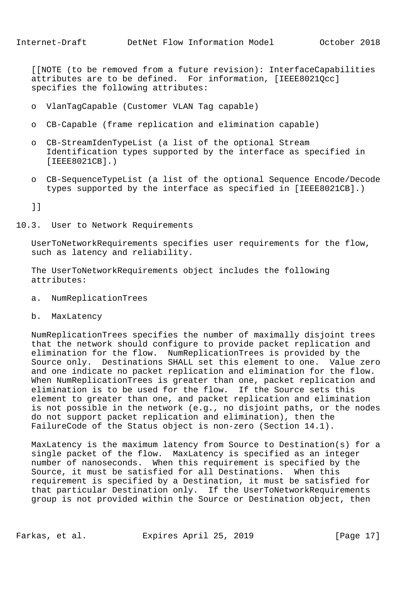[[NOTE (to be removed from a future revision): InterfaceCapabilities attributes are to be defined. For information, [IEEE8021Qcc] specifies the following attributes:

- o VlanTagCapable (Customer VLAN Tag capable)
- o CB-Capable (frame replication and elimination capable)
- o CB-StreamIdenTypeList (a list of the optional Stream Identification types supported by the interface as specified in [IEEE8021CB].)
- o CB-SequenceTypeList (a list of the optional Sequence Encode/Decode types supported by the interface as specified in [IEEE8021CB].)

]]

10.3. User to Network Requirements

 UserToNetworkRequirements specifies user requirements for the flow, such as latency and reliability.

 The UserToNetworkRequirements object includes the following attributes:

- a. NumReplicationTrees
- b. MaxLatency

 NumReplicationTrees specifies the number of maximally disjoint trees that the network should configure to provide packet replication and elimination for the flow. NumReplicationTrees is provided by the Source only. Destinations SHALL set this element to one. Value zero and one indicate no packet replication and elimination for the flow. When NumReplicationTrees is greater than one, packet replication and elimination is to be used for the flow. If the Source sets this element to greater than one, and packet replication and elimination is not possible in the network (e.g., no disjoint paths, or the nodes do not support packet replication and elimination), then the FailureCode of the Status object is non-zero (Section 14.1).

 MaxLatency is the maximum latency from Source to Destination(s) for a single packet of the flow. MaxLatency is specified as an integer number of nanoseconds. When this requirement is specified by the Source, it must be satisfied for all Destinations. When this requirement is specified by a Destination, it must be satisfied for that particular Destination only. If the UserToNetworkRequirements group is not provided within the Source or Destination object, then

Farkas, et al. Expires April 25, 2019 [Page 17]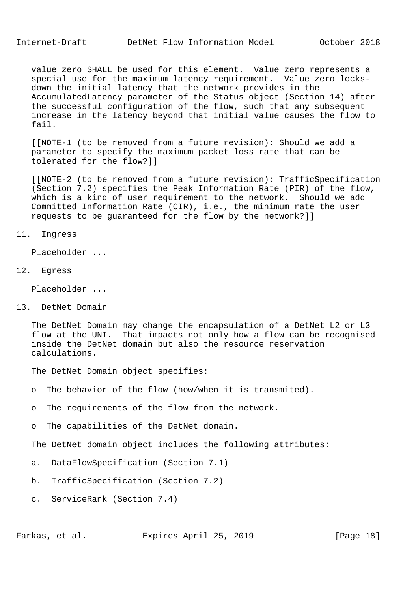Internet-Draft DetNet Flow Information Model October 2018

 value zero SHALL be used for this element. Value zero represents a special use for the maximum latency requirement. Value zero locks down the initial latency that the network provides in the AccumulatedLatency parameter of the Status object (Section 14) after the successful configuration of the flow, such that any subsequent increase in the latency beyond that initial value causes the flow to fail.

 [[NOTE-1 (to be removed from a future revision): Should we add a parameter to specify the maximum packet loss rate that can be tolerated for the flow?]]

 [[NOTE-2 (to be removed from a future revision): TrafficSpecification (Section 7.2) specifies the Peak Information Rate (PIR) of the flow, which is a kind of user requirement to the network. Should we add Committed Information Rate (CIR), i.e., the minimum rate the user requests to be guaranteed for the flow by the network?]]

11. Ingress

Placeholder ...

12. Egress

Placeholder ...

13. DetNet Domain

 The DetNet Domain may change the encapsulation of a DetNet L2 or L3 flow at the UNI. That impacts not only how a flow can be recognised inside the DetNet domain but also the resource reservation calculations.

The DetNet Domain object specifies:

- o The behavior of the flow (how/when it is transmited).
- o The requirements of the flow from the network.
- o The capabilities of the DetNet domain.

The DetNet domain object includes the following attributes:

- a. DataFlowSpecification (Section 7.1)
- b. TrafficSpecification (Section 7.2)
- c. ServiceRank (Section 7.4)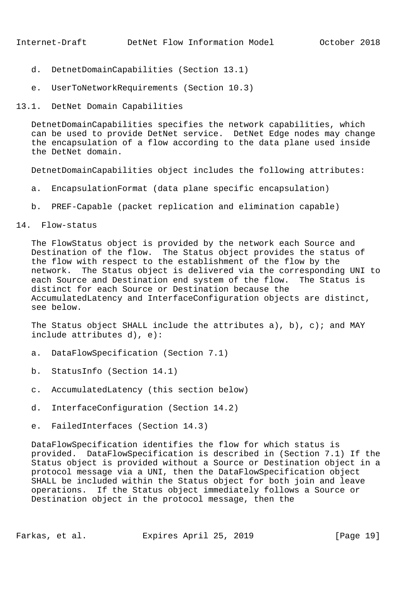- d. DetnetDomainCapabilities (Section 13.1)
- e. UserToNetworkRequirements (Section 10.3)
- 13.1. DetNet Domain Capabilities

 DetnetDomainCapabilities specifies the network capabilities, which can be used to provide DetNet service. DetNet Edge nodes may change the encapsulation of a flow according to the data plane used inside the DetNet domain.

DetnetDomainCapabilities object includes the following attributes:

- a. EncapsulationFormat (data plane specific encapsulation)
- b. PREF-Capable (packet replication and elimination capable)
- 14. Flow-status

 The FlowStatus object is provided by the network each Source and Destination of the flow. The Status object provides the status of the flow with respect to the establishment of the flow by the network. The Status object is delivered via the corresponding UNI to each Source and Destination end system of the flow. The Status is distinct for each Source or Destination because the AccumulatedLatency and InterfaceConfiguration objects are distinct, see below.

 The Status object SHALL include the attributes a), b), c); and MAY include attributes d), e):

- a. DataFlowSpecification (Section 7.1)
- b. StatusInfo (Section 14.1)
- c. AccumulatedLatency (this section below)
- d. InterfaceConfiguration (Section 14.2)
- e. FailedInterfaces (Section 14.3)

 DataFlowSpecification identifies the flow for which status is provided. DataFlowSpecification is described in (Section 7.1) If the Status object is provided without a Source or Destination object in a protocol message via a UNI, then the DataFlowSpecification object SHALL be included within the Status object for both join and leave operations. If the Status object immediately follows a Source or Destination object in the protocol message, then the

Farkas, et al. Expires April 25, 2019 [Page 19]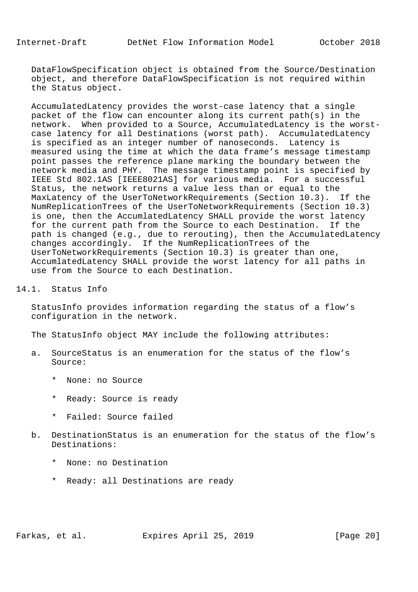DataFlowSpecification object is obtained from the Source/Destination object, and therefore DataFlowSpecification is not required within the Status object.

 AccumulatedLatency provides the worst-case latency that a single packet of the flow can encounter along its current path(s) in the network. When provided to a Source, AccumulatedLatency is the worst case latency for all Destinations (worst path). AccumulatedLatency is specified as an integer number of nanoseconds. Latency is measured using the time at which the data frame's message timestamp point passes the reference plane marking the boundary between the network media and PHY. The message timestamp point is specified by IEEE Std 802.1AS [IEEE8021AS] for various media. For a successful Status, the network returns a value less than or equal to the MaxLatency of the UserToNetworkRequirements (Section 10.3). If the NumReplicationTrees of the UserToNetworkRequirements (Section 10.3) is one, then the AccumlatedLatency SHALL provide the worst latency for the current path from the Source to each Destination. If the path is changed (e.g., due to rerouting), then the AccumulatedLatency changes accordingly. If the NumReplicationTrees of the UserToNetworkRequirements (Section 10.3) is greater than one, AccumlatedLatency SHALL provide the worst latency for all paths in use from the Source to each Destination.

## 14.1. Status Info

 StatusInfo provides information regarding the status of a flow's configuration in the network.

The StatusInfo object MAY include the following attributes:

- a. SourceStatus is an enumeration for the status of the flow's Source:
	- \* None: no Source
	- \* Ready: Source is ready
	- \* Failed: Source failed
- b. DestinationStatus is an enumeration for the status of the flow's Destinations:
	- \* None: no Destination
	- \* Ready: all Destinations are ready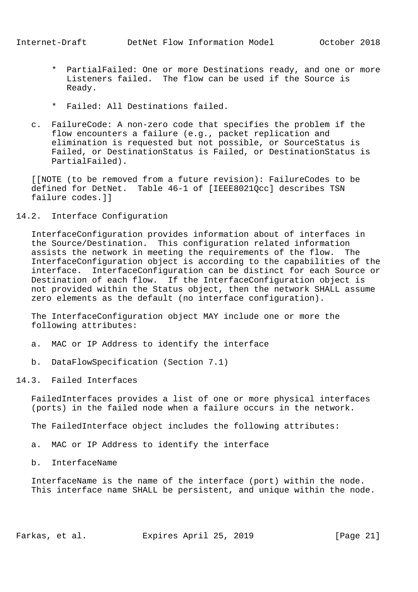- \* PartialFailed: One or more Destinations ready, and one or more Listeners failed. The flow can be used if the Source is Ready.
- \* Failed: All Destinations failed.
- c. FailureCode: A non-zero code that specifies the problem if the flow encounters a failure (e.g., packet replication and elimination is requested but not possible, or SourceStatus is Failed, or DestinationStatus is Failed, or DestinationStatus is PartialFailed).

 [[NOTE (to be removed from a future revision): FailureCodes to be defined for DetNet. Table 46-1 of [IEEE8021Qcc] describes TSN failure codes.]]

14.2. Interface Configuration

 InterfaceConfiguration provides information about of interfaces in the Source/Destination. This configuration related information assists the network in meeting the requirements of the flow. The InterfaceConfiguration object is according to the capabilities of the interface. InterfaceConfiguration can be distinct for each Source or Destination of each flow. If the InterfaceConfiguration object is not provided within the Status object, then the network SHALL assume zero elements as the default (no interface configuration).

 The InterfaceConfiguration object MAY include one or more the following attributes:

- a. MAC or IP Address to identify the interface
- b. DataFlowSpecification (Section 7.1)

14.3. Failed Interfaces

 FailedInterfaces provides a list of one or more physical interfaces (ports) in the failed node when a failure occurs in the network.

The FailedInterface object includes the following attributes:

a. MAC or IP Address to identify the interface

b. InterfaceName

 InterfaceName is the name of the interface (port) within the node. This interface name SHALL be persistent, and unique within the node.

Farkas, et al. Expires April 25, 2019 [Page 21]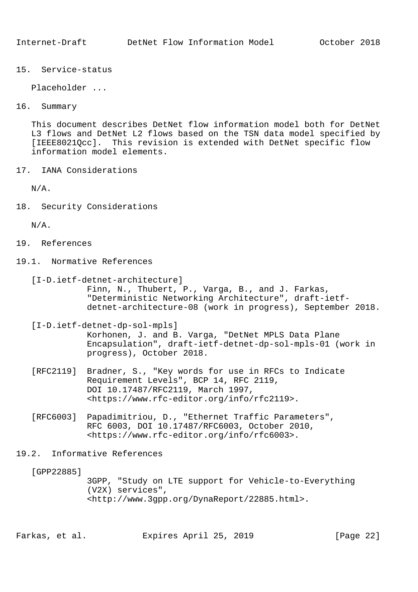15. Service-status

Placeholder ...

16. Summary

 This document describes DetNet flow information model both for DetNet L3 flows and DetNet L2 flows based on the TSN data model specified by [IEEE8021Qcc]. This revision is extended with DetNet specific flow information model elements.

17. IANA Considerations

N/A.

18. Security Considerations

N/A.

- 19. References
- 19.1. Normative References
	- [I-D.ietf-detnet-architecture] Finn, N., Thubert, P., Varga, B., and J. Farkas, "Deterministic Networking Architecture", draft-ietf detnet-architecture-08 (work in progress), September 2018.
	- [I-D.ietf-detnet-dp-sol-mpls] Korhonen, J. and B. Varga, "DetNet MPLS Data Plane Encapsulation", draft-ietf-detnet-dp-sol-mpls-01 (work in progress), October 2018.
	- [RFC2119] Bradner, S., "Key words for use in RFCs to Indicate Requirement Levels", BCP 14, RFC 2119, DOI 10.17487/RFC2119, March 1997, <https://www.rfc-editor.org/info/rfc2119>.
	- [RFC6003] Papadimitriou, D., "Ethernet Traffic Parameters", RFC 6003, DOI 10.17487/RFC6003, October 2010, <https://www.rfc-editor.org/info/rfc6003>.
- 19.2. Informative References

[GPP22885]

 3GPP, "Study on LTE support for Vehicle-to-Everything (V2X) services", <http://www.3gpp.org/DynaReport/22885.html>.

Farkas, et al. Expires April 25, 2019 [Page 22]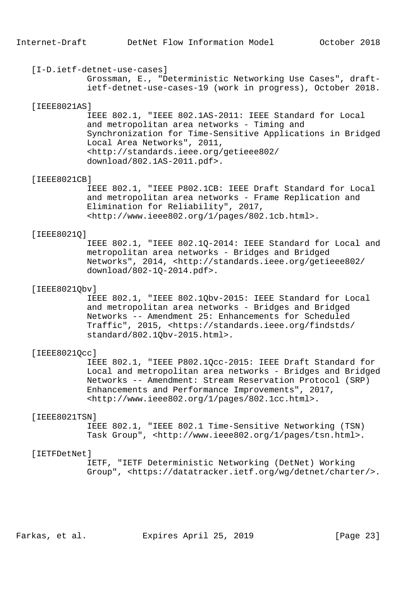#### [I-D.ietf-detnet-use-cases]

 Grossman, E., "Deterministic Networking Use Cases", draft ietf-detnet-use-cases-19 (work in progress), October 2018.

#### [IEEE8021AS]

 IEEE 802.1, "IEEE 802.1AS-2011: IEEE Standard for Local and metropolitan area networks - Timing and Synchronization for Time-Sensitive Applications in Bridged Local Area Networks", 2011, <http://standards.ieee.org/getieee802/ download/802.1AS-2011.pdf>.

#### [IEEE8021CB]

 IEEE 802.1, "IEEE P802.1CB: IEEE Draft Standard for Local and metropolitan area networks - Frame Replication and Elimination for Reliability", 2017, <http://www.ieee802.org/1/pages/802.1cb.html>.

#### [IEEE8021Q]

 IEEE 802.1, "IEEE 802.1Q-2014: IEEE Standard for Local and metropolitan area networks - Bridges and Bridged Networks", 2014, <http://standards.ieee.org/getieee802/ download/802-1Q-2014.pdf>.

## [IEEE8021Obv]

 IEEE 802.1, "IEEE 802.1Qbv-2015: IEEE Standard for Local and metropolitan area networks - Bridges and Bridged Networks -- Amendment 25: Enhancements for Scheduled Traffic", 2015, <https://standards.ieee.org/findstds/ standard/802.1Qbv-2015.html>.

#### [IEEE8021Qcc]

 IEEE 802.1, "IEEE P802.1Qcc-2015: IEEE Draft Standard for Local and metropolitan area networks - Bridges and Bridged Networks -- Amendment: Stream Reservation Protocol (SRP) Enhancements and Performance Improvements", 2017, <http://www.ieee802.org/1/pages/802.1cc.html>.

#### [IEEE8021TSN]

 IEEE 802.1, "IEEE 802.1 Time-Sensitive Networking (TSN) Task Group", <http://www.ieee802.org/1/pages/tsn.html>.

## [IETFDetNet]

 IETF, "IETF Deterministic Networking (DetNet) Working Group", <https://datatracker.ietf.org/wg/detnet/charter/>.